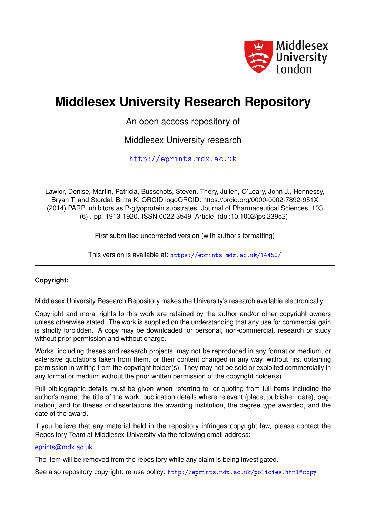

# **Middlesex University Research Repository**

An open access repository of

Middlesex University research

<http://eprints.mdx.ac.uk>

Lawlor, Denise, Martin, Patricia, Busschots, Steven, Thery, Julien, O'Leary, John J., Hennessy, Bryan T. and Stordal, Britta K. ORCID logoORCID: https://orcid.org/0000-0002-7892-951X (2014) PARP inhibitors as P-glyoprotein substrates. Journal of Pharmaceutical Sciences, 103 (6) . pp. 1913-1920. ISSN 0022-3549 [Article] (doi:10.1002/jps.23952)

First submitted uncorrected version (with author's formatting)

This version is available at: <https://eprints.mdx.ac.uk/14450/>

## **Copyright:**

Middlesex University Research Repository makes the University's research available electronically.

Copyright and moral rights to this work are retained by the author and/or other copyright owners unless otherwise stated. The work is supplied on the understanding that any use for commercial gain is strictly forbidden. A copy may be downloaded for personal, non-commercial, research or study without prior permission and without charge.

Works, including theses and research projects, may not be reproduced in any format or medium, or extensive quotations taken from them, or their content changed in any way, without first obtaining permission in writing from the copyright holder(s). They may not be sold or exploited commercially in any format or medium without the prior written permission of the copyright holder(s).

Full bibliographic details must be given when referring to, or quoting from full items including the author's name, the title of the work, publication details where relevant (place, publisher, date), pagination, and for theses or dissertations the awarding institution, the degree type awarded, and the date of the award.

If you believe that any material held in the repository infringes copyright law, please contact the Repository Team at Middlesex University via the following email address:

#### [eprints@mdx.ac.uk](mailto:eprints@mdx.ac.uk)

The item will be removed from the repository while any claim is being investigated.

See also repository copyright: re-use policy: <http://eprints.mdx.ac.uk/policies.html#copy>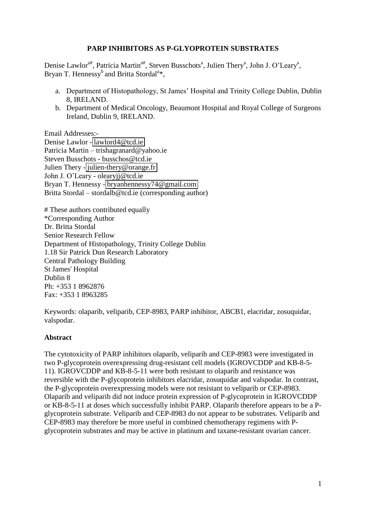## **PARP INHIBITORS AS P-GLYOPROTEIN SUBSTRATES**

Denise Lawlor<sup>a#</sup>, Patricia Martin<sup>a#</sup>, Steven Busschots<sup>a</sup>, Julien Thery<sup>a</sup>, John J. O'Leary<sup>a</sup>, Bryan T. Hennessy<sup>b</sup> and Britta Stordal<sup>a\*</sup>,

- a. Department of Histopathology, St James' Hospital and Trinity College Dublin, Dublin 8, IRELAND.
- b. Department of Medical Oncology, Beaumont Hospital and Royal College of Surgeons Ireland, Dublin 9, IRELAND.

Email Addresses:-

Denise Lawlor - [lawlord4@tcd.ie](mailto:lawlord4@tcd.ie)  Patricia Martin – trishagranard@yahoo.ie Steven Busschots - busschos@tcd.ie Julien Thery - [julien-thery@orange.fr](mailto:julien-thery@orange.fr)  John J. O'Leary - olearyjj@tcd.ie Bryan T. Hennessy - [bryanhennessy74@gmail.com](mailto:bryanhennessy74@gmail.com)  Britta Stordal – stordalb@tcd.ie (corresponding author)

# These authors contributed equally \*Corresponding Author Dr. Britta Stordal Senior Research Fellow Department of Histopathology, Trinity College Dublin 1.18 Sir Patrick Dun Research Laboratory Central Pathology Building St James' Hospital Dublin 8 Ph: +353 1 8962876 Fax: +353 1 8963285

Keywords: olaparib, veliparib, CEP-8983, PARP inhibitor, ABCB1, elacridar, zosuquidar, valspodar.

#### **Abstract**

The cytotoxicity of PARP inhibitors olaparib, veliparib and CEP-8983 were investigated in two P-glycoprotein overexpressing drug-resistant cell models (IGROVCDDP and KB-8-5- 11). IGROVCDDP and KB-8-5-11 were both resistant to olaparib and resistance was reversible with the P-glycoprotein inhibitors elacridar, zosuquidar and valspodar. In contrast, the P-glycoprotein overexpressing models were not resistant to veliparib or CEP-8983. Olaparib and veliparib did not induce protein expression of P-glycoprotein in IGROVCDDP or KB-8-5-11 at doses which successfully inhibit PARP. Olaparib therefore appears to be a Pglycoprotein substrate. Veliparib and CEP-8983 do not appear to be substrates. Veliparib and CEP-8983 may therefore be more useful in combined chemotherapy regimens with Pglycoprotein substrates and may be active in platinum and taxane-resistant ovarian cancer.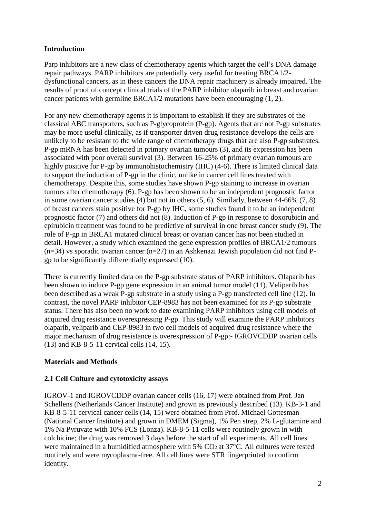# **Introduction**

Parp inhibitors are a new class of chemotherapy agents which target the cell's DNA damage repair pathways. PARP inhibitors are potentially very useful for treating BRCA1/2 dysfunctional cancers, as in these cancers the DNA repair machinery is already impaired. The results of proof of concept clinical trials of the PARP inhibitor olaparib in breast and ovarian cancer patients with germline BRCA1/2 mutations have been encouraging (1, 2).

For any new chemotherapy agents it is important to establish if they are substrates of the classical ABC transporters, such as P-glycoprotein (P-gp). Agents that are not P-gp substrates may be more useful clinically, as if transporter driven drug resistance develops the cells are unlikely to be resistant to the wide range of chemotherapy drugs that are also P-gp substrates. P-gp mRNA has been detected in primary ovarian tumours (3), and its expression has been associated with poor overall survival (3). Between 16-25% of primary ovarian tumours are highly positive for P-gp by immunohistochemistry (IHC) (4-6). There is limited clinical data to support the induction of P-gp in the clinic, unlike in cancer cell lines treated with chemotherapy. Despite this, some studies have shown P-gp staining to increase in ovarian tumors after chemotherapy (6). P-gp has been shown to be an independent prognostic factor in some ovarian cancer studies (4) but not in others (5, 6). Similarly, between 44-66% (7, 8) of breast cancers stain positive for P-gp by IHC, some studies found it to be an independent prognostic factor (7) and others did not (8). Induction of P-gp in response to doxorubicin and epirubicin treatment was found to be predictive of survival in one breast cancer study (9). The role of P-gp in BRCA1 mutated clinical breast or ovarian cancer has not been studied in detail. However, a study which examined the gene expression profiles of BRCA1/2 tumours  $(n=34)$  vs sporadic ovarian cancer  $(n=27)$  in an Ashkenazi Jewish population did not find Pgp to be significantly differentially expressed (10).

There is currently limited data on the P-gp substrate status of PARP inhibitors. Olaparib has been shown to induce P-gp gene expression in an animal tumor model (11). Veliparib has been described as a weak P-gp substrate in a study using a P-gp transfected cell line (12). In contrast, the novel PARP inhibitor CEP-8983 has not been examined for its P-gp substrate status. There has also been no work to date examining PARP inhibitors using cell models of acquired drug resistance overexpressing P-gp. This study will examine the PARP inhibitors olaparib, veliparib and CEP-8983 in two cell models of acquired drug resistance where the major mechanism of drug resistance is overexpression of P-gp:- IGROVCDDP ovarian cells (13) and KB-8-5-11 cervical cells (14, 15).

## **Materials and Methods**

## **2.1 Cell Culture and cytotoxicity assays**

IGROV-1 and IGROVCDDP ovarian cancer cells (16, 17) were obtained from Prof. Jan Schellens (Netherlands Cancer Institute) and grown as previously described (13). KB-3-1 and KB-8-5-11 cervical cancer cells (14, 15) were obtained from Prof. Michael Gottesman (National Cancer Institute) and grown in DMEM (Sigma), 1% Pen strep, 2% L-glutamine and 1% Na Pyruvate with 10% FCS (Lonza). KB-8-5-11 cells were routinely grown in with colchicine; the drug was removed 3 days before the start of all experiments. All cell lines were maintained in a humidified atmosphere with 5% CO2 at 37°C. All cultures were tested routinely and were mycoplasma-free. All cell lines were STR fingerprinted to confirm identity.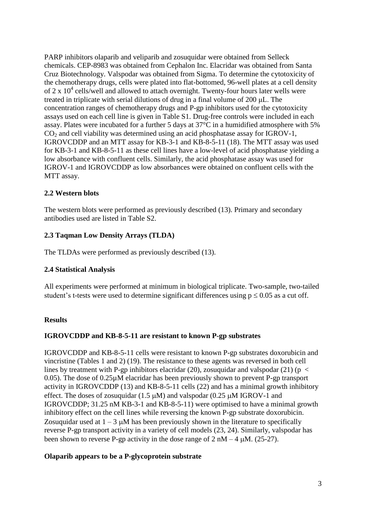PARP inhibitors olaparib and veliparib and zosuquidar were obtained from Selleck chemicals. CEP-8983 was obtained from Cephalon Inc. Elacridar was obtained from Santa Cruz Biotechnology. Valspodar was obtained from Sigma. To determine the cytotoxicity of the chemotherapy drugs, cells were plated into flat-bottomed, 96-well plates at a cell density of 2 x  $10^4$  cells/well and allowed to attach overnight. Twenty-four hours later wells were treated in triplicate with serial dilutions of drug in a final volume of  $200 \mu L$ . The concentration ranges of chemotherapy drugs and P-gp inhibitors used for the cytotoxicity assays used on each cell line is given in Table S1. Drug-free controls were included in each assay. Plates were incubated for a further 5 days at 37°C in a humidified atmosphere with 5%  $CO<sub>2</sub>$  and cell viability was determined using an acid phosphatase assay for IGROV-1, IGROVCDDP and an MTT assay for KB-3-1 and KB-8-5-11 (18). The MTT assay was used for KB-3-1 and KB-8-5-11 as these cell lines have a low-level of acid phosphatase yielding a low absorbance with confluent cells. Similarly, the acid phosphatase assay was used for IGROV-1 and IGROVCDDP as low absorbances were obtained on confluent cells with the MTT assay.

# **2.2 Western blots**

The western blots were performed as previously described (13). Primary and secondary antibodies used are listed in Table S2.

# **2.3 Taqman Low Density Arrays (TLDA)**

The TLDAs were performed as previously described (13).

## **2.4 Statistical Analysis**

All experiments were performed at minimum in biological triplicate. Two-sample, two-tailed student's t-tests were used to determine significant differences using  $p \le 0.05$  as a cut off.

## **Results**

## **IGROVCDDP and KB-8-5-11 are resistant to known P-gp substrates**

IGROVCDDP and KB-8-5-11 cells were resistant to known P-gp substrates doxorubicin and vincristine (Tables 1 and 2) (19). The resistance to these agents was reversed in both cell lines by treatment with P-gp inhibitors elacridar (20), zosuquidar and valspodar (21) ( $p <$ 0.05). The dose of 0.25µM elacridar has been previously shown to prevent P-gp transport activity in IGROVCDDP (13) and KB-8-5-11 cells (22) and has a minimal growth inhibitory effect. The doses of zosuquidar  $(1.5 \mu M)$  and valspodar  $(0.25 \mu M)$  IGROV-1 and IGROVCDDP; 31.25 nM KB-3-1 and KB-8-5-11) were optimised to have a minimal growth inhibitory effect on the cell lines while reversing the known P-gp substrate doxorubicin. Zosuquidar used at  $1 - 3$   $\mu$ M has been previously shown in the literature to specifically reverse P-gp transport activity in a variety of cell models (23, 24). Similarly, valspodar has been shown to reverse P-gp activity in the dose range of  $2 \text{ nM} - 4 \text{ µM}$ . (25-27).

## **Olaparib appears to be a P-glycoprotein substrate**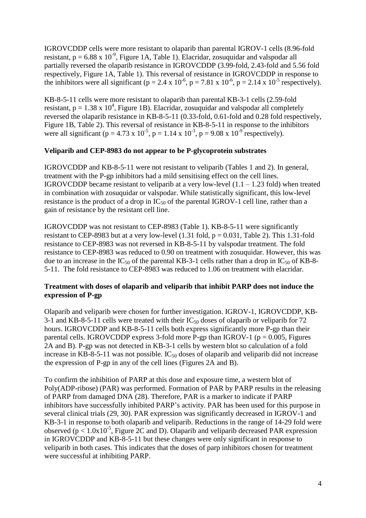IGROVCDDP cells were more resistant to olaparib than parental IGROV-1 cells (8.96-fold resistant,  $p = 6.88 \times 10^{-9}$ , Figure 1A, Table 1). Elacridar, zosuquidar and valspodar all partially reversed the olaparib resistance in IGROVCDDP (3.99-fold, 2.43-fold and 5.56 fold respectively, Figure 1A, Table 1). This reversal of resistance in IGROVCDDP in response to the inhibitors were all significant ( $p = 2.4 \times 10^{-6}$ ,  $p = 7.81 \times 10^{-6}$ ,  $p = 2.14 \times 10^{-5}$  respectively).

KB-8-5-11 cells were more resistant to olaparib than parental KB-3-1 cells (2.59-fold resistant,  $p = 1.38 \times 10^4$ , Figure 1B). Elacridar, zosuquidar and valspodar all completely reversed the olaparib resistance in KB-8-5-11 (0.33-fold, 0.61-fold and 0.28 fold respectively, Figure 1B, Table 2). This reversal of resistance in KB-8-5-11 in response to the inhibitors were all significant (p = 4.73 x  $10^{-5}$ , p = 1.14 x  $10^{-3}$ , p = 9.08 x  $10^{-9}$  respectively).

#### **Veliparib and CEP-8983 do not appear to be P-glycoprotein substrates**

IGROVCDDP and KB-8-5-11 were not resistant to veliparib (Tables 1 and 2). In general, treatment with the P-gp inhibitors had a mild sensitising effect on the cell lines. IGROVCDDP became resistant to veliparib at a very low-level  $(1.1 - 1.23 \text{ fold})$  when treated in combination with zosuquidar or valspodar. While statistically significant, this low-level resistance is the product of a drop in  $IC_{50}$  of the parental IGROV-1 cell line, rather than a gain of resistance by the resistant cell line.

IGROVCDDP was not resistant to CEP-8983 (Table 1). KB-8-5-11 were significantly resistant to CEP-8983 but at a very low-level  $(1.31 \text{ fold}, p = 0.031, \text{ Table 2})$ . This 1.31-fold resistance to CEP-8983 was not reversed in KB-8-5-11 by valspodar treatment. The fold resistance to CEP-8983 was reduced to 0.90 on treatment with zosuquidar. However, this was due to an increase in the  $IC_{50}$  of the parental KB-3-1 cells rather than a drop in  $IC_{50}$  of KB-8-5-11. The fold resistance to CEP-8983 was reduced to 1.06 on treatment with elacridar.

## **Treatment with doses of olaparib and veliparib that inhibit PARP does not induce the expression of P-gp**

Olaparib and veliparib were chosen for further investigation. IGROV-1, IGROVCDDP, KB-3-1 and KB-8-5-11 cells were treated with their  $IC_{50}$  doses of olaparib or veliparib for 72 hours. IGROVCDDP and KB-8-5-11 cells both express significantly more P-gp than their parental cells. IGROVCDDP express 3-fold more P-gp than IGROV-1 ( $p = 0.005$ , Figures 2A and B). P-gp was not detected in KB-3-1 cells by western blot so calculation of a fold increase in KB-8-5-11 was not possible.  $IC_{50}$  doses of olaparib and veliparib did not increase the expression of P-gp in any of the cell lines (Figures 2A and B).

To confirm the inhibition of PARP at this dose and exposure time, a western blot of Poly(ADP-ribose) (PAR) was performed. Formation of PAR by PARP results in the releasing of PARP from damaged DNA (28). Therefore, PAR is a marker to indicate if PARP inhibitors have successfully inhibited PARP's activity. PAR has been used for this purpose in several clinical trials (29, 30). PAR expression was significantly decreased in IGROV-1 and KB-3-1 in response to both olaparib and veliparib. Reductions in the range of 14-29 fold were observed ( $p < 1.0x10^{-5}$ , Figure 2C and D). Olaparib and veliparib decreased PAR expression in IGROVCDDP and KB-8-5-11 but these changes were only significant in response to veliparib in both cases. This indicates that the doses of parp inhibitors chosen for treatment were successful at inhibiting PARP.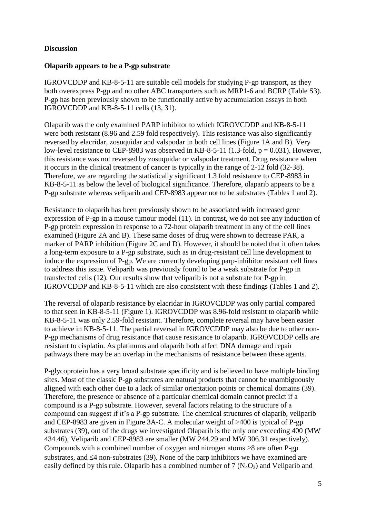#### **Discussion**

#### **Olaparib appears to be a P-gp substrate**

IGROVCDDP and KB-8-5-11 are suitable cell models for studying P-gp transport, as they both overexpress P-gp and no other ABC transporters such as MRP1-6 and BCRP (Table S3). P-gp has been previously shown to be functionally active by accumulation assays in both IGROVCDDP and KB-8-5-11 cells (13, 31).

Olaparib was the only examined PARP inhibitor to which IGROVCDDP and KB-8-5-11 were both resistant (8.96 and 2.59 fold respectively). This resistance was also significantly reversed by elacridar, zosuquidar and valspodar in both cell lines (Figure 1A and B). Very low-level resistance to CEP-8983 was observed in KB-8-5-11 (1.3-fold,  $p = 0.031$ ). However, this resistance was not reversed by zosuquidar or valspodar treatment. Drug resistance when it occurs in the clinical treatment of cancer is typically in the range of 2-12 fold (32-38). Therefore, we are regarding the statistically significant 1.3 fold resistance to CEP-8983 in KB-8-5-11 as below the level of biological significance. Therefore, olaparib appears to be a P-gp substrate whereas veliparib and CEP-8983 appear not to be substrates (Tables 1 and 2).

Resistance to olaparib has been previously shown to be associated with increased gene expression of P-gp in a mouse tumour model (11). In contrast, we do not see any induction of P-gp protein expression in response to a 72-hour olaparib treatment in any of the cell lines examined (Figure 2A and B). These same doses of drug were shown to decrease PAR, a marker of PARP inhibition (Figure 2C and D). However, it should be noted that it often takes a long-term exposure to a P-gp substrate, such as in drug-resistant cell line development to induce the expression of P-gp. We are currently developing parp-inhibitor resistant cell lines to address this issue. Veliparib was previously found to be a weak substrate for P-gp in transfected cells (12). Our results show that veliparib is not a substrate for P-gp in IGROVCDDP and KB-8-5-11 which are also consistent with these findings (Tables 1 and 2).

The reversal of olaparib resistance by elacridar in IGROVCDDP was only partial compared to that seen in KB-8-5-11 (Figure 1). IGROVCDDP was 8.96-fold resistant to olaparib while KB-8-5-11 was only 2.59-fold resistant. Therefore, complete reversal may have been easier to achieve in KB-8-5-11. The partial reversal in IGROVCDDP may also be due to other non-P-gp mechanisms of drug resistance that cause resistance to olaparib. IGROVCDDP cells are resistant to cisplatin. As platinums and olaparib both affect DNA damage and repair pathways there may be an overlap in the mechanisms of resistance between these agents.

P-glycoprotein has a very broad substrate specificity and is believed to have multiple binding sites. Most of the classic P-gp substrates are natural products that cannot be unambiguously aligned with each other due to a lack of similar orientation points or chemical domains (39). Therefore, the presence or absence of a particular chemical domain cannot predict if a compound is a P-gp substrate. However, several factors relating to the structure of a compound can suggest if it's a P-gp substrate. The chemical structures of olaparib, veliparib and CEP-8983 are given in Figure 3A-C. A molecular weight of >400 is typical of P-gp substrates (39), out of the drugs we investigated Olaparib is the only one exceeding 400 (MW 434.46), Veliparib and CEP-8983 are smaller (MW 244.29 and MW 306.31 respectively). Compounds with a combined number of oxygen and nitrogen atoms  $\geq 8$  are often P-gp substrates, and  $\leq 4$  non-substrates (39). None of the parp inhibitors we have examined are easily defined by this rule. Olaparib has a combined number of 7  $(N_4O_3)$  and Veliparib and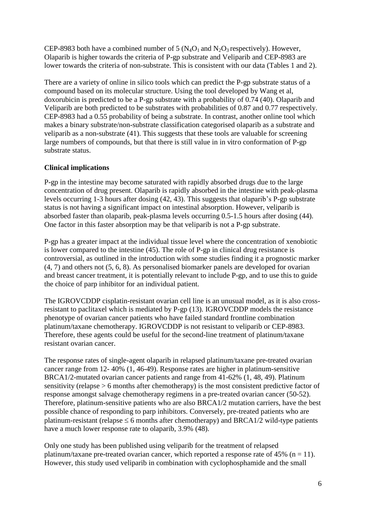CEP-8983 both have a combined number of 5  $(N_4O_1$  and  $N_2O_3$  respectively). However, Olaparib is higher towards the criteria of P-gp substrate and Veliparib and CEP-8983 are lower towards the criteria of non-substrate. This is consistent with our data (Tables 1 and 2).

There are a variety of online in silico tools which can predict the P-gp substrate status of a compound based on its molecular structure. Using the tool developed by Wang et al, doxorubicin is predicted to be a P-gp substrate with a probability of 0.74 (40). Olaparib and Veliparib are both predicted to be substrates with probabilities of 0.87 and 0.77 respectively. CEP-8983 had a 0.55 probability of being a substrate. In contrast, another online tool which makes a binary substrate/non-substrate classification categorised olaparib as a substrate and veliparib as a non-substrate (41). This suggests that these tools are valuable for screening large numbers of compounds, but that there is still value in in vitro conformation of P-gp substrate status.

## **Clinical implications**

P-gp in the intestine may become saturated with rapidly absorbed drugs due to the large concentration of drug present. Olaparib is rapidly absorbed in the intestine with peak-plasma levels occurring 1-3 hours after dosing (42, 43). This suggests that olaparib's P-gp substrate status is not having a significant impact on intestinal absorption. However, veliparib is absorbed faster than olaparib, peak-plasma levels occurring 0.5-1.5 hours after dosing (44). One factor in this faster absorption may be that veliparib is not a P-gp substrate.

P-gp has a greater impact at the individual tissue level where the concentration of xenobiotic is lower compared to the intestine (45). The role of P-gp in clinical drug resistance is controversial, as outlined in the introduction with some studies finding it a prognostic marker (4, 7) and others not (5, 6, 8). As personalised biomarker panels are developed for ovarian and breast cancer treatment, it is potentially relevant to include P-gp, and to use this to guide the choice of parp inhibitor for an individual patient.

The IGROVCDDP cisplatin-resistant ovarian cell line is an unusual model, as it is also crossresistant to paclitaxel which is mediated by P-gp (13). IGROVCDDP models the resistance phenotype of ovarian cancer patients who have failed standard frontline combination platinum/taxane chemotherapy. IGROVCDDP is not resistant to veliparib or CEP-8983. Therefore, these agents could be useful for the second-line treatment of platinum/taxane resistant ovarian cancer.

The response rates of single-agent olaparib in relapsed platinum/taxane pre-treated ovarian cancer range from 12- 40% (1, 46-49). Response rates are higher in platinum-sensitive BRCA1/2-mutated ovarian cancer patients and range from 41-62% (1, 48, 49). Platinum sensitivity (relapse > 6 months after chemotherapy) is the most consistent predictive factor of response amongst salvage chemotherapy regimens in a pre-treated ovarian cancer (50-52). Therefore, platinum-sensitive patients who are also BRCA1/2 mutation carriers, have the best possible chance of responding to parp inhibitors. Conversely, pre-treated patients who are platinum-resistant (relapse  $\leq 6$  months after chemotherapy) and BRCA1/2 wild-type patients have a much lower response rate to olaparib, 3.9% (48).

Only one study has been published using veliparib for the treatment of relapsed platinum/taxane pre-treated ovarian cancer, which reported a response rate of 45% ( $n = 11$ ). However, this study used veliparib in combination with cyclophosphamide and the small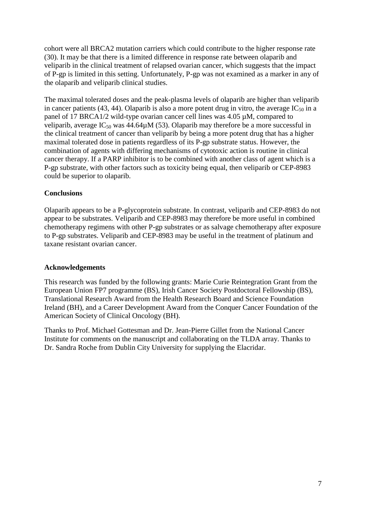cohort were all BRCA2 mutation carriers which could contribute to the higher response rate (30). It may be that there is a limited difference in response rate between olaparib and veliparib in the clinical treatment of relapsed ovarian cancer, which suggests that the impact of P-gp is limited in this setting. Unfortunately, P-gp was not examined as a marker in any of the olaparib and veliparib clinical studies.

The maximal tolerated doses and the peak-plasma levels of olaparib are higher than veliparib in cancer patients (43, 44). Olaparib is also a more potent drug in vitro, the average  $IC_{50}$  in a panel of 17 BRCA1/2 wild-type ovarian cancer cell lines was 4.05 µM, compared to veliparib, average  $IC_{50}$  was 44.64 $\mu$ M (53). Olaparib may therefore be a more successful in the clinical treatment of cancer than veliparib by being a more potent drug that has a higher maximal tolerated dose in patients regardless of its P-gp substrate status. However, the combination of agents with differing mechanisms of cytotoxic action is routine in clinical cancer therapy. If a PARP inhibitor is to be combined with another class of agent which is a P-gp substrate, with other factors such as toxicity being equal, then veliparib or CEP-8983 could be superior to olaparib.

## **Conclusions**

Olaparib appears to be a P-glycoprotein substrate. In contrast, veliparib and CEP-8983 do not appear to be substrates. Veliparib and CEP-8983 may therefore be more useful in combined chemotherapy regimens with other P-gp substrates or as salvage chemotherapy after exposure to P-gp substrates. Veliparib and CEP-8983 may be useful in the treatment of platinum and taxane resistant ovarian cancer.

#### **Acknowledgements**

This research was funded by the following grants: Marie Curie Reintegration Grant from the European Union FP7 programme (BS), Irish Cancer Society Postdoctoral Fellowship (BS), Translational Research Award from the Health Research Board and Science Foundation Ireland (BH), and a Career Development Award from the Conquer Cancer Foundation of the American Society of Clinical Oncology (BH).

Thanks to Prof. Michael Gottesman and Dr. Jean-Pierre Gillet from the National Cancer Institute for comments on the manuscript and collaborating on the TLDA array. Thanks to Dr. Sandra Roche from Dublin City University for supplying the Elacridar.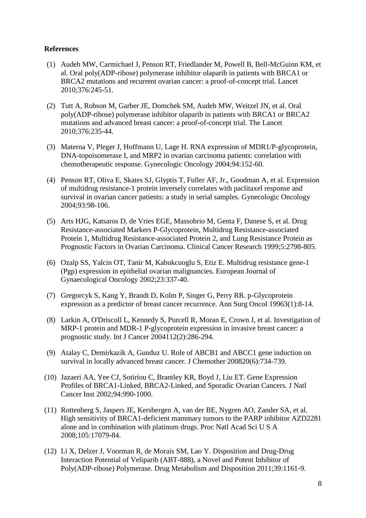## **References**

- (1) Audeh MW, Carmichael J, Penson RT, Friedlander M, Powell B, Bell-McGuinn KM, et al. Oral poly(ADP-ribose) polymerase inhibitor olaparib in patients with BRCA1 or BRCA2 mutations and recurrent ovarian cancer: a proof-of-concept trial. Lancet 2010;376:245-51.
- (2) Tutt A, Robson M, Garber JE, Domchek SM, Audeh MW, Weitzel JN, et al. Oral poly(ADP-ribose) polymerase inhibitor olaparib in patients with BRCA1 or BRCA2 mutations and advanced breast cancer: a proof-of-concept trial. The Lancet 2010;376:235-44.
- (3) Materna V, Pleger J, Hoffmann U, Lage H. RNA expression of MDR1/P-glycoprotein, DNA-topoisomerase I, and MRP2 in ovarian carcinoma patients: correlation with chemotherapeutic response. Gynecologic Oncology 2004;94:152-60.
- (4) Penson RT, Oliva E, Skates SJ, Glyptis T, Fuller AF, Jr., Goodman A, et al. Expression of multidrug resistance-1 protein inversely correlates with paclitaxel response and survival in ovarian cancer patients: a study in serial samples. Gynecologic Oncology 2004;93:98-106.
- (5) Arts HJG, Katsaros D, de Vries EGE, Massobrio M, Genta F, Danese S, et al. Drug Resistance-associated Markers P-Glycoprotein, Multidrug Resistance-associated Protein 1, Multidrug Resistance-associated Protein 2, and Lung Resistance Protein as Prognostic Factors in Ovarian Carcinoma. Clinical Cancer Research 1999;5:2798-805.
- (6) Ozalp SS, Yalcin OT, Tanir M, Kabukcuoglu S, Etiz E. Multidrug resistance gene-1 (Pgp) expression in epithelial ovarian malignancies. European Journal of Gynaecological Oncology 2002;23:337-40.
- (7) Gregorcyk S, Kang Y, Brandt D, Kolm P, Singer G, Perry RR. p-Glycoprotein expression as a predictor of breast cancer recurrence. Ann Surg Oncol 19963(1):8-14.
- (8) Larkin A, O'Driscoll L, Kennedy S, Purcell R, Moran E, Crown J, et al. Investigation of MRP-1 protein and MDR-1 P-glycoprotein expression in invasive breast cancer: a prognostic study. Int J Cancer 2004112(2):286-294.
- (9) Atalay C, Demirkazik A, Gunduz U. Role of ABCB1 and ABCC1 gene induction on survival in locally advanced breast cancer. J Chemother 200820(6):734-739.
- (10) Jazaeri AA, Yee CJ, Sotiriou C, Brantley KR, Boyd J, Liu ET. Gene Expression Profiles of BRCA1-Linked, BRCA2-Linked, and Sporadic Ovarian Cancers. J Natl Cancer Inst 2002;94:990-1000.
- (11) Rottenberg S, Jaspers JE, Kersbergen A, van der BE, Nygren AO, Zander SA, et al. High sensitivity of BRCA1-deficient mammary tumors to the PARP inhibitor AZD2281 alone and in combination with platinum drugs. Proc Natl Acad Sci U S A 2008;105:17079-84.
- (12) Li X, Delzer J, Voorman R, de Morais SM, Lao Y. Disposition and Drug-Drug Interaction Potential of Veliparib (ABT-888), a Novel and Potent Inhibitor of Poly(ADP-ribose) Polymerase. Drug Metabolism and Disposition 2011;39:1161-9.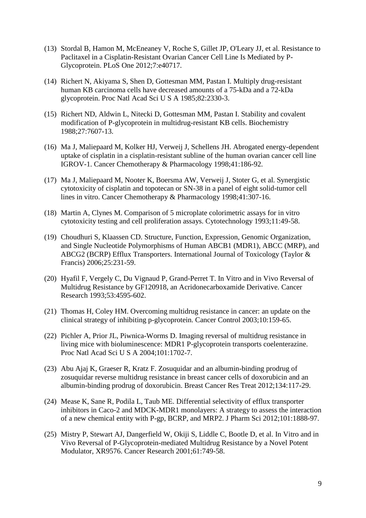- (13) Stordal B, Hamon M, McEneaney V, Roche S, Gillet JP, O'Leary JJ, et al. Resistance to Paclitaxel in a Cisplatin-Resistant Ovarian Cancer Cell Line Is Mediated by P-Glycoprotein. PLoS One 2012;7:e40717.
- (14) Richert N, Akiyama S, Shen D, Gottesman MM, Pastan I. Multiply drug-resistant human KB carcinoma cells have decreased amounts of a 75-kDa and a 72-kDa glycoprotein. Proc Natl Acad Sci U S A 1985;82:2330-3.
- (15) Richert ND, Aldwin L, Nitecki D, Gottesman MM, Pastan I. Stability and covalent modification of P-glycoprotein in multidrug-resistant KB cells. Biochemistry 1988;27:7607-13.
- (16) Ma J, Maliepaard M, Kolker HJ, Verweij J, Schellens JH. Abrogated energy-dependent uptake of cisplatin in a cisplatin-resistant subline of the human ovarian cancer cell line IGROV-1. Cancer Chemotherapy & Pharmacology 1998;41:186-92.
- (17) Ma J, Maliepaard M, Nooter K, Boersma AW, Verweij J, Stoter G, et al. Synergistic cytotoxicity of cisplatin and topotecan or SN-38 in a panel of eight solid-tumor cell lines in vitro. Cancer Chemotherapy & Pharmacology 1998;41:307-16.
- (18) Martin A, Clynes M. Comparison of 5 microplate colorimetric assays for in vitro cytotoxicity testing and cell proliferation assays. Cytotechnology 1993;11:49-58.
- (19) Choudhuri S, Klaassen CD. Structure, Function, Expression, Genomic Organization, and Single Nucleotide Polymorphisms of Human ABCB1 (MDR1), ABCC (MRP), and ABCG2 (BCRP) Efflux Transporters. International Journal of Toxicology (Taylor & Francis) 2006;25:231-59.
- (20) Hyafil F, Vergely C, Du Vignaud P, Grand-Perret T. In Vitro and in Vivo Reversal of Multidrug Resistance by GF120918, an Acridonecarboxamide Derivative. Cancer Research 1993;53:4595-602.
- (21) Thomas H, Coley HM. Overcoming multidrug resistance in cancer: an update on the clinical strategy of inhibiting p-glycoprotein. Cancer Control 2003;10:159-65.
- (22) Pichler A, Prior JL, Piwnica-Worms D. Imaging reversal of multidrug resistance in living mice with bioluminescence: MDR1 P-glycoprotein transports coelenterazine. Proc Natl Acad Sci U S A 2004;101:1702-7.
- (23) Abu Ajaj K, Graeser R, Kratz F. Zosuquidar and an albumin-binding prodrug of zosuquidar reverse multidrug resistance in breast cancer cells of doxorubicin and an albumin-binding prodrug of doxorubicin. Breast Cancer Res Treat 2012;134:117-29.
- (24) Mease K, Sane R, Podila L, Taub ME. Differential selectivity of efflux transporter inhibitors in Caco-2 and MDCK-MDR1 monolayers: A strategy to assess the interaction of a new chemical entity with P-gp, BCRP, and MRP2. J Pharm Sci 2012;101:1888-97.
- (25) Mistry P, Stewart AJ, Dangerfield W, Okiji S, Liddle C, Bootle D, et al. In Vitro and in Vivo Reversal of P-Glycoprotein-mediated Multidrug Resistance by a Novel Potent Modulator, XR9576. Cancer Research 2001;61:749-58.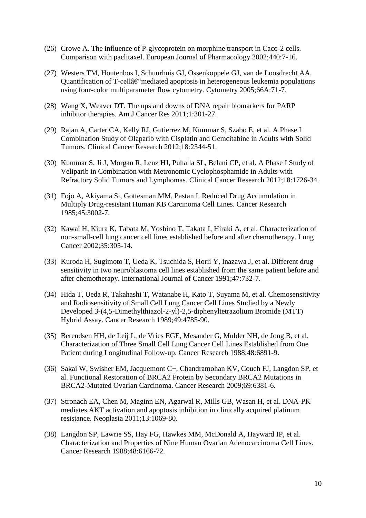- (26) Crowe A. The influence of P-glycoprotein on morphine transport in Caco-2 cells. Comparison with paclitaxel. European Journal of Pharmacology 2002;440:7-16.
- (27) Westers TM, Houtenbos I, Schuurhuis GJ, Ossenkoppele GJ, van de Loosdrecht AA. Quantification of  $T$ -cellâ $\varepsilon$ "mediated apoptosis in heterogeneous leukemia populations using four-color multiparameter flow cytometry. Cytometry 2005;66A:71-7.
- (28) Wang X, Weaver DT. The ups and downs of DNA repair biomarkers for PARP inhibitor therapies. Am J Cancer Res 2011;1:301-27.
- (29) Rajan A, Carter CA, Kelly RJ, Gutierrez M, Kummar S, Szabo E, et al. A Phase I Combination Study of Olaparib with Cisplatin and Gemcitabine in Adults with Solid Tumors. Clinical Cancer Research 2012;18:2344-51.
- (30) Kummar S, Ji J, Morgan R, Lenz HJ, Puhalla SL, Belani CP, et al. A Phase I Study of Veliparib in Combination with Metronomic Cyclophosphamide in Adults with Refractory Solid Tumors and Lymphomas. Clinical Cancer Research 2012;18:1726-34.
- (31) Fojo A, Akiyama Si, Gottesman MM, Pastan I. Reduced Drug Accumulation in Multiply Drug-resistant Human KB Carcinoma Cell Lines. Cancer Research 1985;45:3002-7.
- (32) Kawai H, Kiura K, Tabata M, Yoshino T, Takata I, Hiraki A, et al. Characterization of non-small-cell lung cancer cell lines established before and after chemotherapy. Lung Cancer 2002;35:305-14.
- (33) Kuroda H, Sugimoto T, Ueda K, Tsuchida S, Horii Y, Inazawa J, et al. Different drug sensitivity in two neuroblastoma cell lines established from the same patient before and after chemotherapy. International Journal of Cancer 1991;47:732-7.
- (34) Hida T, Ueda R, Takahashi T, Watanabe H, Kato T, Suyama M, et al. Chemosensitivity and Radiosensitivity of Small Cell Lung Cancer Cell Lines Studied by a Newly Developed 3-(4,5-Dimethylthiazol-2-yl)-2,5-diphenyltetrazolium Bromide (MTT) Hybrid Assay. Cancer Research 1989;49:4785-90.
- (35) Berendsen HH, de Leij L, de Vries EGE, Mesander G, Mulder NH, de Jong B, et al. Characterization of Three Small Cell Lung Cancer Cell Lines Established from One Patient during Longitudinal Follow-up. Cancer Research 1988;48:6891-9.
- (36) Sakai W, Swisher EM, Jacquemont C+, Chandramohan KV, Couch FJ, Langdon SP, et al. Functional Restoration of BRCA2 Protein by Secondary BRCA2 Mutations in BRCA2-Mutated Ovarian Carcinoma. Cancer Research 2009;69:6381-6.
- (37) Stronach EA, Chen M, Maginn EN, Agarwal R, Mills GB, Wasan H, et al. DNA-PK mediates AKT activation and apoptosis inhibition in clinically acquired platinum resistance. Neoplasia 2011;13:1069-80.
- (38) Langdon SP, Lawrie SS, Hay FG, Hawkes MM, McDonald A, Hayward IP, et al. Characterization and Properties of Nine Human Ovarian Adenocarcinoma Cell Lines. Cancer Research 1988;48:6166-72.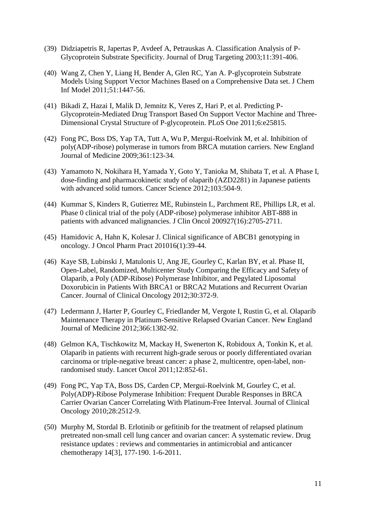- (39) Didziapetris R, Japertas P, Avdeef A, Petrauskas A. Classification Analysis of P-Glycoprotein Substrate Specificity. Journal of Drug Targeting 2003;11:391-406.
- (40) Wang Z, Chen Y, Liang H, Bender A, Glen RC, Yan A. P-glycoprotein Substrate Models Using Support Vector Machines Based on a Comprehensive Data set. J Chem Inf Model 2011;51:1447-56.
- (41) Bikadi Z, Hazai I, Malik D, Jemnitz K, Veres Z, Hari P, et al. Predicting P-Glycoprotein-Mediated Drug Transport Based On Support Vector Machine and Three-Dimensional Crystal Structure of P-glycoprotein. PLoS One 2011;6:e25815.
- (42) Fong PC, Boss DS, Yap TA, Tutt A, Wu P, Mergui-Roelvink M, et al. Inhibition of poly(ADP-ribose) polymerase in tumors from BRCA mutation carriers. New England Journal of Medicine 2009;361:123-34.
- (43) Yamamoto N, Nokihara H, Yamada Y, Goto Y, Tanioka M, Shibata T, et al. A Phase I, dose-finding and pharmacokinetic study of olaparib (AZD2281) in Japanese patients with advanced solid tumors. Cancer Science 2012;103:504-9.
- (44) Kummar S, Kinders R, Gutierrez ME, Rubinstein L, Parchment RE, Phillips LR, et al. Phase 0 clinical trial of the poly (ADP-ribose) polymerase inhibitor ABT-888 in patients with advanced malignancies. J Clin Oncol 200927(16):2705-2711.
- (45) Hamidovic A, Hahn K, Kolesar J. Clinical significance of ABCB1 genotyping in oncology. J Oncol Pharm Pract 201016(1):39-44.
- (46) Kaye SB, Lubinski J, Matulonis U, Ang JE, Gourley C, Karlan BY, et al. Phase II, Open-Label, Randomized, Multicenter Study Comparing the Efficacy and Safety of Olaparib, a Poly (ADP-Ribose) Polymerase Inhibitor, and Pegylated Liposomal Doxorubicin in Patients With BRCA1 or BRCA2 Mutations and Recurrent Ovarian Cancer. Journal of Clinical Oncology 2012;30:372-9.
- (47) Ledermann J, Harter P, Gourley C, Friedlander M, Vergote I, Rustin G, et al. Olaparib Maintenance Therapy in Platinum-Sensitive Relapsed Ovarian Cancer. New England Journal of Medicine 2012;366:1382-92.
- (48) Gelmon KA, Tischkowitz M, Mackay H, Swenerton K, Robidoux A, Tonkin K, et al. Olaparib in patients with recurrent high-grade serous or poorly differentiated ovarian carcinoma or triple-negative breast cancer: a phase 2, multicentre, open-label, nonrandomised study. Lancet Oncol 2011;12:852-61.
- (49) Fong PC, Yap TA, Boss DS, Carden CP, Mergui-Roelvink M, Gourley C, et al. Poly(ADP)-Ribose Polymerase Inhibition: Frequent Durable Responses in BRCA Carrier Ovarian Cancer Correlating With Platinum-Free Interval. Journal of Clinical Oncology 2010;28:2512-9.
- (50) Murphy M, Stordal B. Erlotinib or gefitinib for the treatment of relapsed platinum pretreated non-small cell lung cancer and ovarian cancer: A systematic review. Drug resistance updates : reviews and commentaries in antimicrobial and anticancer chemotherapy 14[3], 177-190. 1-6-2011.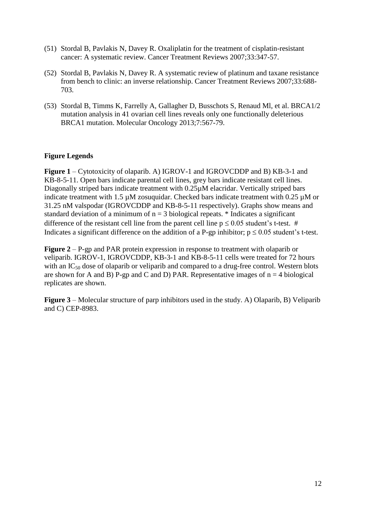- (51) Stordal B, Pavlakis N, Davey R. Oxaliplatin for the treatment of cisplatin-resistant cancer: A systematic review. Cancer Treatment Reviews 2007;33:347-57.
- (52) Stordal B, Pavlakis N, Davey R. A systematic review of platinum and taxane resistance from bench to clinic: an inverse relationship. Cancer Treatment Reviews 2007;33:688- 703.
- (53) Stordal B, Timms K, Farrelly A, Gallagher D, Busschots S, Renaud Ml, et al. BRCA1/2 mutation analysis in 41 ovarian cell lines reveals only one functionally deleterious BRCA1 mutation. Molecular Oncology 2013;7:567-79.

# **Figure Legends**

**Figure 1** – Cytotoxicity of olaparib. A) IGROV-1 and IGROVCDDP and B) KB-3-1 and KB-8-5-11. Open bars indicate parental cell lines, grey bars indicate resistant cell lines. Diagonally striped bars indicate treatment with 0.25µM elacridar. Vertically striped bars indicate treatment with 1.5  $\mu$ M zosuquidar. Checked bars indicate treatment with 0.25  $\mu$ M or 31.25 nM valspodar (IGROVCDDP and KB-8-5-11 respectively). Graphs show means and standard deviation of a minimum of  $n = 3$  biological repeats. \* Indicates a significant difference of the resistant cell line from the parent cell line  $p \le 0.05$  student's t-test. # Indicates a significant difference on the addition of a P-gp inhibitor;  $p \le 0.05$  student's t-test.

**Figure 2** – P-gp and PAR protein expression in response to treatment with olaparib or veliparib. IGROV-1, IGROVCDDP, KB-3-1 and KB-8-5-11 cells were treated for 72 hours with an IC<sub>50</sub> dose of olaparib or veliparib and compared to a drug-free control. Western blots are shown for A and B) P-gp and C and D) PAR. Representative images of  $n = 4$  biological replicates are shown.

**Figure 3** – Molecular structure of parp inhibitors used in the study. A) Olaparib, B) Veliparib and C) CEP-8983.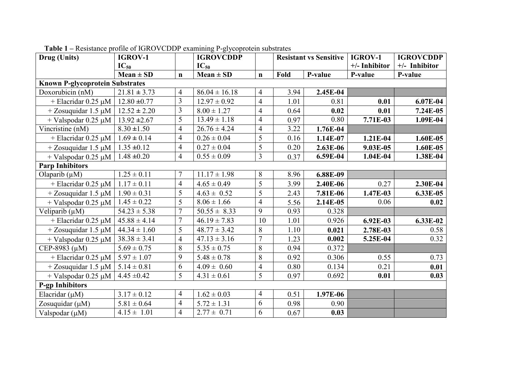| Drug (Units)                           | <b>IGROV-1</b>   |                | <b>IGROVCDDP</b>  |                | <b>Resistant vs Sensitive</b> |          | IGROV-1       | <b>IGROVCDDP</b> |
|----------------------------------------|------------------|----------------|-------------------|----------------|-------------------------------|----------|---------------|------------------|
|                                        | $IC_{50}$        |                | $IC_{50}$         |                |                               |          | +/- Inhibitor | +/- Inhibitor    |
|                                        | $Mean \pm SD$    | $\mathbf n$    | $Mean \pm SD$     | $\mathbf n$    | Fold                          | P-value  | P-value       | P-value          |
| <b>Known P-glycoprotein Substrates</b> |                  |                |                   |                |                               |          |               |                  |
| Doxorubicin (nM)                       | $21.81 \pm 3.73$ | $\overline{4}$ | $86.04 \pm 16.18$ | 4              | 3.94                          | 2.45E-04 |               |                  |
| + Elacridar $0.25 \mu M$               | $12.80 \pm 0.77$ | 3              | $12.97 \pm 0.92$  | $\overline{4}$ | 1.01                          | 0.81     | 0.01          | 6.07E-04         |
| $+$ Zosuquidar 1.5 µM                  | $12.52 \pm 2.20$ | 3              | $8.00 \pm 1.27$   | $\overline{4}$ | 0.64                          | 0.02     | 0.01          | 7.24E-05         |
| + Valspodar $0.25 \mu M$               | $13.92 \pm 2.67$ | $\overline{5}$ | $13.49 \pm 1.18$  | $\overline{4}$ | 0.97                          | 0.80     | 7.71E-03      | 1.09E-04         |
| Vincristine (nM)                       | $8.30 \pm 1.50$  | $\overline{4}$ | $26.76 \pm 4.24$  | 4              | 3.22                          | 1.76E-04 |               |                  |
| + Elacridar $0.25 \mu M$               | $1.69 \pm 0.14$  | $\overline{4}$ | $0.26 \pm 0.04$   | 5              | 0.16                          | 1.14E-07 | 1.21E-04      | 1.60E-05         |
| $+$ Zosuquidar 1.5 µM                  | $1.35 \pm 0.12$  | $\overline{4}$ | $0.27 \pm 0.04$   | 5              | 0.20                          | 2.63E-06 | 9.03E-05      | 1.60E-05         |
| $+$ Valspodar 0.25 µM                  | $1.48 \pm 0.20$  | $\overline{4}$ | $0.55 \pm 0.09$   | $\overline{3}$ | 0.37                          | 6.59E-04 | $1.04E-04$    | 1.38E-04         |
| <b>Parp Inhibitors</b>                 |                  |                |                   |                |                               |          |               |                  |
| Olaparib $(\mu M)$                     | $1.25 \pm 0.11$  | $\tau$         | $11.17 \pm 1.98$  | 8              | 8.96                          | 6.88E-09 |               |                  |
| $+$ Elacridar 0.25 µM                  | $1.17 \pm 0.11$  | $\overline{4}$ | $4.65 \pm 0.49$   | 5              | 3.99                          | 2.40E-06 | 0.27          | 2.30E-04         |
| $+$ Zosuquidar 1.5 µM                  | $1.90 \pm 0.31$  | 5              | $4.63 \pm 0.52$   | 5              | 2.43                          | 7.81E-06 | 1.47E-03      | 6.33E-05         |
| $+$ Valspodar 0.25 µM                  | $1.45 \pm 0.22$  | 5              | $8.06 \pm 1.66$   | $\overline{4}$ | 5.56                          | 2.14E-05 | 0.06          | 0.02             |
| Veliparib $(\mu M)$                    | $54.23 \pm 5.38$ | $\overline{7}$ | $50.55 \pm 8.33$  | 9              | 0.93                          | 0.328    |               |                  |
| + Elacridar $0.25 \mu M$               | $45.88 \pm 4.14$ | $\overline{7}$ | $46.19 \pm 7.83$  | 10             | 1.01                          | 0.926    | 6.92E-03      | 6.33E-02         |
| $+$ Zosuquidar 1.5 $\mu$ M             | $44.34 \pm 1.60$ | 5              | $48.77 \pm 3.42$  | 8              | 1.10                          | 0.021    | 2.78E-03      | 0.58             |
| + Valspodar $0.25 \mu M$               | $38.38 \pm 3.41$ | $\overline{4}$ | $47.13 \pm 3.16$  | $\overline{7}$ | 1.23                          | 0.002    | 5.25E-04      | 0.32             |
| CEP-8983 (µM)                          | $5.69 \pm 0.75$  | 8              | $5.35 \pm 0.75$   | 8              | 0.94                          | 0.372    |               |                  |
| + Elacridar $0.25 \mu M$               | $5.97 \pm 1.07$  | 9              | $5.48 \pm 0.78$   | 8              | 0.92                          | 0.306    | 0.55          | 0.73             |
| $+$ Zosuquidar 1.5 $\mu$ M             | $5.14 \pm 0.81$  | 6              | $4.09 \pm 0.60$   | $\overline{4}$ | 0.80                          | 0.134    | 0.21          | 0.01             |
| $+$ Valspodar 0.25 $\mu$ M             | $4.45 \pm 0.42$  | 5              | $4.31 \pm 0.61$   | 5              | 0.97                          | 0.692    | 0.01          | 0.03             |
| <b>P-gp Inhibitors</b>                 |                  |                |                   |                |                               |          |               |                  |
| Elacridar $(\mu M)$                    | $3.17 \pm 0.12$  | $\overline{4}$ | $1.62 \pm 0.03$   | $\overline{4}$ | 0.51                          | 1.97E-06 |               |                  |
| Zosuquidar $(\mu M)$                   | $5.81 \pm 0.64$  | $\overline{4}$ | $5.72 \pm 1.31$   | 6              | 0.98                          | 0.90     |               |                  |
| Valspodar $(\mu M)$                    | $4.15 \pm 1.01$  | $\overline{4}$ | $2.77 \pm 0.71$   | 6              | 0.67                          | 0.03     |               |                  |

**Table 1 –** Resistance profile of IGROVCDDP examining P-glycoprotein substrates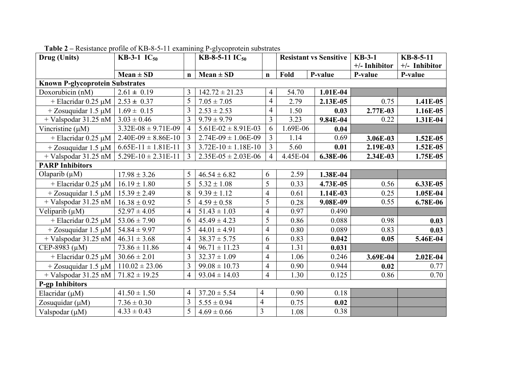| Drug (Units)                             | <b>KB-3-1</b> $IC_{50}$ |                | KB-8-5-11 $IC_{50}$         |                         | <b>Resistant vs Sensitive</b> |            | $KB-3-1$      | KB-8-5-11       |
|------------------------------------------|-------------------------|----------------|-----------------------------|-------------------------|-------------------------------|------------|---------------|-----------------|
|                                          |                         |                |                             |                         |                               |            | +/- Inhibitor | $+/-$ Inhibitor |
|                                          | $Mean \pm SD$           | $\mathbf n$    | $Mean \pm SD$               | $\mathbf n$             | Fold                          | P-value    | P-value       | P-value         |
| <b>Known P-glycoprotein Substrates</b>   |                         |                |                             |                         |                               |            |               |                 |
| Doxorubicin (nM)                         | $2.61 \pm 0.19$         | 3              | $142.72 \pm 21.23$          | 4                       | 54.70                         | 1.01E-04   |               |                 |
| + Elacridar $0.25 \mu M$                 | $2.53 \pm 0.37$         | 5              | $7.05 \pm 7.05$             | 4                       | 2.79                          | 2.13E-05   | 0.75          | 1.41E-05        |
| $+$ Zosuquidar 1.5 µM                    | $1.69 \pm 0.15$         | 3              | $2.53 \pm 2.53$             | $\overline{4}$          | 1.50                          | 0.03       | 2.77E-03      | 1.16E-05        |
| + Valspodar $31.25 \overline{\text{nM}}$ | $3.03 \pm 0.46$         | 3              | $9.79 \pm 9.79$             | $\overline{3}$          | 3.23                          | 9.84E-04   | 0.22          | 1.31E-04        |
| Vincristine $(\mu M)$                    | $3.32E-08 \pm 9.71E-09$ | $\overline{4}$ | $5.61E-02 \pm 8.91E-03$     | 6                       | 1.69E-06                      | 0.04       |               |                 |
| + Elacridar $0.25 \mu M$                 | $2.40E-09 \pm 8.86E-10$ | 3              | $2.74E-09 \pm 1.06E-09$     | 3                       | 1.14                          | 0.69       | 3.06E-03      | $1.52E-05$      |
| $+$ Zosuquidar 1.5 µM                    | $6.65E-11 \pm 1.81E-11$ | 3              | $3.72E-10 \pm 1.18E-10$     | $\overline{3}$          | 5.60                          | 0.01       | 2.19E-03      | $1.52E-05$      |
| + Valspodar $31.25 \overline{nm}$        | $5.29E-10 \pm 2.31E-11$ | 3              | $2.35E-05 \pm 2.03E-06$     | 4                       | 4.45E-04                      | 6.38E-06   | 2.34E-03      | 1.75E-05        |
| <b>PARP Inhibitors</b>                   |                         |                |                             |                         |                               |            |               |                 |
| Olaparib $(\mu M)$                       | $17.98 \pm 3.26$        | 5              | $46.54 \pm 6.82$            | 6                       | 2.59                          | 1.38E-04   |               |                 |
| + Elacridar $0.25 \mu M$                 | $16.19 \pm 1.80$        | 5              | $5.32 \pm 1.08$             | 5                       | 0.33                          | 4.73E-05   | 0.56          | 6.33E-05        |
| $+$ Zosuquidar 1.5 µM                    | $15.39 \pm 2.49$        | 8              | $9.39 \pm 1.12$             | $\overline{4}$          | 0.61                          | $1.14E-03$ | 0.25          | 1.05E-04        |
| $+$ Valspodar 31.25 nM                   | $16.38 \pm 0.92$        | 5              | $4.59 \pm 0.58$             | 5                       | 0.28                          | 9.08E-09   | 0.55          | 6.78E-06        |
| Veliparib $(\mu M)$                      | $52.97 \pm 4.05$        | 4              | $51.43 \pm 1.03$            | $\overline{4}$          | 0.97                          | 0.490      |               |                 |
| + Elacridar $0.25 \mu M$                 | $53.06 \pm 7.90$        | 6              | $45.49 \pm 4.23$            | 5                       | 0.86                          | 0.088      | 0.98          | 0.03            |
| $+$ Zosuquidar 1.5 µM                    | $54.84 \pm 9.97$        | 5              | $44.01 \pm 4.91$            | $\overline{4}$          | 0.80                          | 0.089      | 0.83          | 0.03            |
| $+$ Valspodar 31.25 nM                   | $46.31 \pm 3.68$        | 4              | $\overline{38.37} \pm 5.75$ | 6                       | 0.83                          | 0.042      | 0.05          | 5.46E-04        |
| CEP-8983 (µM)                            | $73.86 \pm 11.86$       | 4              | $96.71 \pm 11.23$           | $\overline{4}$          | 1.31                          | 0.031      |               |                 |
| + Elacridar $0.25 \mu M$                 | $30.66 \pm 2.01$        | 3              | $32.37 \pm 1.09$            | $\overline{4}$          | 1.06                          | 0.246      | 3.69E-04      | $2.02E-04$      |
| $+$ Zosuquidar 1.5 $\mu$ M               | $110.02 \pm 23.06$      | 3              | $99.08 \pm 10.73$           | $\overline{4}$          | 0.90                          | 0.944      | 0.02          | 0.77            |
| $+$ Valspodar 31.25 nM                   | $71.82 \pm 19.25$       | 4              | $93.04 \pm 14.03$           | $\overline{4}$          | 1.30                          | 0.125      | 0.86          | 0.70            |
| <b>P-gp Inhibitors</b>                   |                         |                |                             |                         |                               |            |               |                 |
| Elacridar $(\mu M)$                      | $41.50 \pm 1.50$        | 4              | $37.20 \pm 5.54$            | $\overline{4}$          | 0.90                          | 0.18       |               |                 |
| Zosuquidar $(\mu M)$                     | $7.36 \pm 0.30$         | 3              | $5.55 \pm 0.94$             | 4                       | 0.75                          | 0.02       |               |                 |
| Valspodar $(\mu M)$                      | $4.33 \pm 0.43$         | 5              | $4.69 \pm 0.66$             | $\overline{\mathbf{3}}$ | 1.08                          | 0.38       |               |                 |

**Table 2 –** Resistance profile of KB-8-5-11 examining P-glycoprotein substrates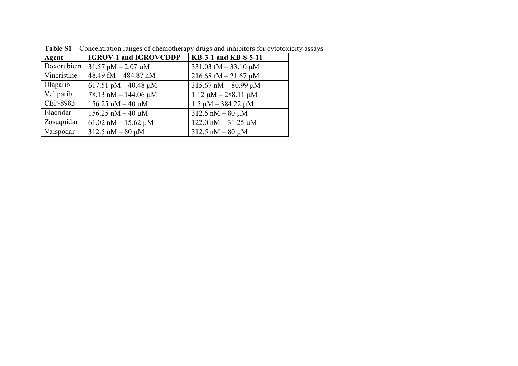| Agent       | <b>IGROV-1 and IGROVCDDP</b>         | KB-3-1 and KB-8-5-11        |
|-------------|--------------------------------------|-----------------------------|
| Doxorubicin | $31.57 \text{ pM} - 2.07 \text{ µM}$ | 331.03 fM $-$ 33.10 $\mu$ M |
| Vincristine | 48.49 fM - 484.87 nM                 | $216.68$ fM $- 21.67$ µM    |
| Olaparib    | 617.51 pM $-$ 40.48 µM               | $315.67$ nM $- 80.99$ µM    |
| Veliparib   | 78.13 nM $-$ 144.06 µM               | $1.12 \mu M - 288.11 \mu M$ |
| CEP-8983    | $156.25$ nM $-40 \mu$ M              | $1.5 \mu M - 384.22 \mu M$  |
| Elacridar   | $156.25$ nM $-40 \mu$ M              | $312.5$ nM $-80 \mu$ M      |
| Zosuquidar  | 61.02 nM $-$ 15.62 µM                | $122.0$ nM $-31.25$ µM      |
| Valspodar   | $312.5$ nM $-80 \mu M$               | $312.5$ nM $-80 \mu$ M      |

Table S1 – Concentration ranges of chemotherapy drugs and inhibitors for cytotoxicity assays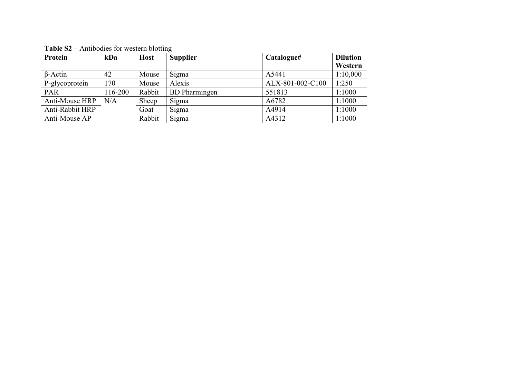| Protein         | kDa     | <b>Host</b> | <b>Supplier</b>      | Catalogue#       | <b>Dilution</b><br>Western |
|-----------------|---------|-------------|----------------------|------------------|----------------------------|
| $\beta$ -Actin  | 42      | Mouse       | Sigma                | A5441            | 1:10,000                   |
| P-glycoprotein  | 170     | Mouse       | Alexis               | ALX-801-002-C100 | 1:250                      |
| <b>PAR</b>      | 116-200 | Rabbit      | <b>BD</b> Pharmingen | 551813           | 1:1000                     |
| Anti-Mouse HRP  | N/A     | Sheep       | Sigma                | A6782            | 1:1000                     |
| Anti-Rabbit HRP |         | Goat        | Sigma                | A4914            | 1:1000                     |
| Anti-Mouse AP   |         | Rabbit      | Sigma                | A4312            | 1:1000                     |

**Table S2** – Antibodies for western blotting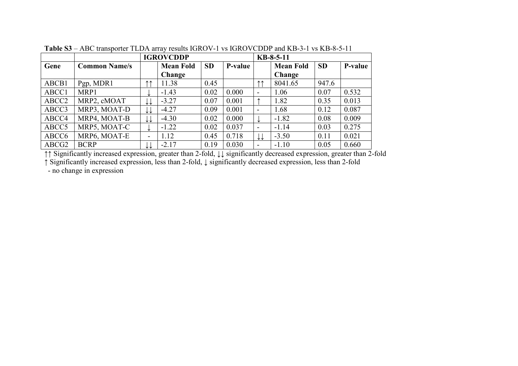|                   |                      | <b>IGROVCDDP</b> |                  |           |         |                          | $KB-8-5-11$      |           |         |  |
|-------------------|----------------------|------------------|------------------|-----------|---------|--------------------------|------------------|-----------|---------|--|
| Gene              | <b>Common Name/s</b> |                  | <b>Mean Fold</b> | <b>SD</b> | P-value |                          | <b>Mean Fold</b> | <b>SD</b> | P-value |  |
|                   |                      |                  | Change           |           |         |                          | Change           |           |         |  |
| ABCB1             | Pgp, MDR1            | <b>11</b>        | 11.38            | 0.45      |         | ተ ተ                      | 8041.65          | 947.6     |         |  |
| ABCC1             | MRP1                 | ໋                | $-1.43$          | 0.02      | 0.000   | -                        | 1.06             | 0.07      | 0.532   |  |
| ABCC <sub>2</sub> | MRP2, cMOAT          | ↓↓               | $-3.27$          | 0.07      | 0.001   |                          | 1.82             | 0.35      | 0.013   |  |
| ABCC3             | MRP3, MOAT-D         | ↓↓               | $-4.27$          | 0.09      | 0.001   | $\overline{\phantom{0}}$ | 1.68             | 0.12      | 0.087   |  |
| ABCC4             | MRP4, MOAT-B         | ↓↓               | $-4.30$          | 0.02      | 0.000   | ↓                        | $-1.82$          | 0.08      | 0.009   |  |
| ABCC <sub>5</sub> | MRP5, MOAT-C         |                  | $-1.22$          | 0.02      | 0.037   | $\overline{\phantom{a}}$ | $-1.14$          | 0.03      | 0.275   |  |
| ABCC <sub>6</sub> | MRP6, MOAT-E         | -                | 1.12             | 0.45      | 0.718   | ↓↓                       | $-3.50$          | 0.11      | 0.021   |  |
| ABCG <sub>2</sub> | <b>BCRP</b>          | ↓↓               | $-2.17$          | 0.19      | 0.030   | $\overline{\phantom{0}}$ | $-1.10$          | 0.05      | 0.660   |  |

**Table S3** – ABC transporter TLDA array results IGROV-1 vs IGROVCDDP and KB-3-1 vs KB-8-5-11

↑↑ Significantly increased expression, greater than 2-fold, ↓↓ significantly decreased expression, greater than 2-fold

↑ Significantly increased expression, less than 2-fold, ↓ significantly decreased expression, less than 2-fold

- no change in expression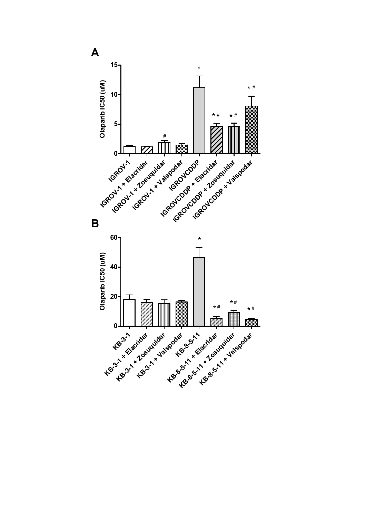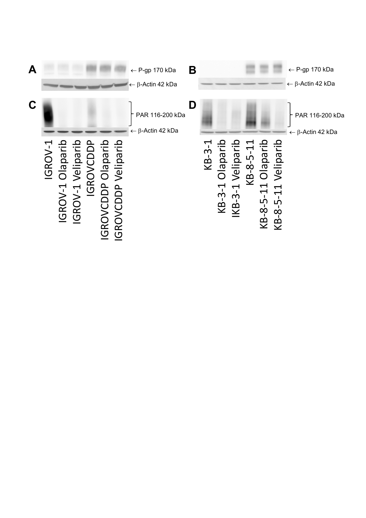